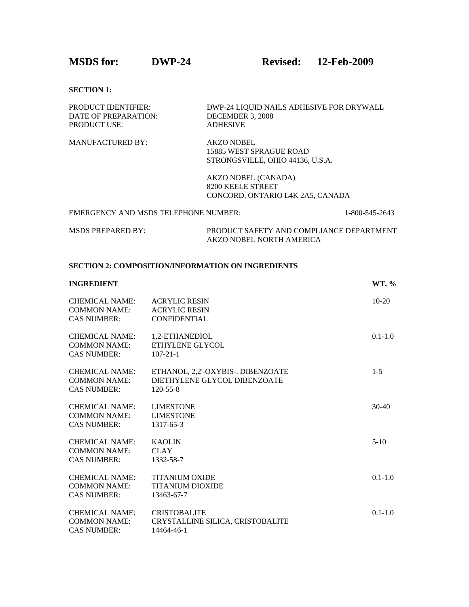**MSDS for: DWP-24 Revised: 12-Feb-2009** 

**SECTION 1:** 

| <b>PRODUCT IDENTIFIER:</b> | DWP-24 LIQUID NAILS ADHESIVE FOR DRYWALL |
|----------------------------|------------------------------------------|
| DATE OF PREPARATION:       | DECEMBER 3, 2008                         |
| <b>PRODUCT USE:</b>        | <b>ADHESIVE</b>                          |
|                            |                                          |

MANUFACTURED BY: AKZO NOBEL 15885 WEST SPRAGUE ROAD STRONGSVILLE, OHIO 44136, U.S.A.

> AKZO NOBEL (CANADA) 8200 KEELE STREET CONCORD, ONTARIO L4K 2A5, CANADA

| EMERGENCY AND MSDS TELEPHONE NUMBER: |                                          | 1-800-545-2643 |
|--------------------------------------|------------------------------------------|----------------|
| MSDS PREPARED BY:                    | PRODUCT SAFETY AND COMPLIANCE DEPARTMENT |                |
|                                      | AKZO NOBEL NORTH AMERICA                 |                |

# **SECTION 2: COMPOSITION/INFORMATION ON INGREDIENTS**

| <b>INGREDIENT</b>                                                  |                                                                                     | WT. %       |
|--------------------------------------------------------------------|-------------------------------------------------------------------------------------|-------------|
| <b>CHEMICAL NAME:</b><br><b>COMMON NAME:</b><br><b>CAS NUMBER:</b> | <b>ACRYLIC RESIN</b><br><b>ACRYLIC RESIN</b><br><b>CONFIDENTIAL</b>                 | $10-20$     |
| <b>CHEMICAL NAME:</b><br><b>COMMON NAME:</b><br><b>CAS NUMBER:</b> | 1,2-ETHANEDIOL<br>ETHYLENE GLYCOL<br>$107 - 21 - 1$                                 | $0.1 - 1.0$ |
| <b>CHEMICAL NAME:</b><br><b>COMMON NAME:</b><br><b>CAS NUMBER:</b> | ETHANOL, 2,2'-OXYBIS-, DIBENZOATE<br>DIETHYLENE GLYCOL DIBENZOATE<br>$120 - 55 - 8$ | $1 - 5$     |
| <b>CHEMICAL NAME:</b><br><b>COMMON NAME:</b><br><b>CAS NUMBER:</b> | <b>LIMESTONE</b><br><b>LIMESTONE</b><br>1317-65-3                                   | $30-40$     |
| <b>CHEMICAL NAME:</b><br><b>COMMON NAME:</b><br><b>CAS NUMBER:</b> | <b>KAOLIN</b><br><b>CLAY</b><br>1332-58-7                                           | $5-10$      |
| <b>CHEMICAL NAME:</b><br><b>COMMON NAME:</b><br><b>CAS NUMBER:</b> | <b>TITANIUM OXIDE</b><br><b>TITANIUM DIOXIDE</b><br>13463-67-7                      | $0.1 - 1.0$ |
| <b>CHEMICAL NAME:</b><br><b>COMMON NAME:</b><br><b>CAS NUMBER:</b> | <b>CRISTOBALITE</b><br>CRYSTALLINE SILICA, CRISTOBALITE<br>14464-46-1               | $0.1 - 1.0$ |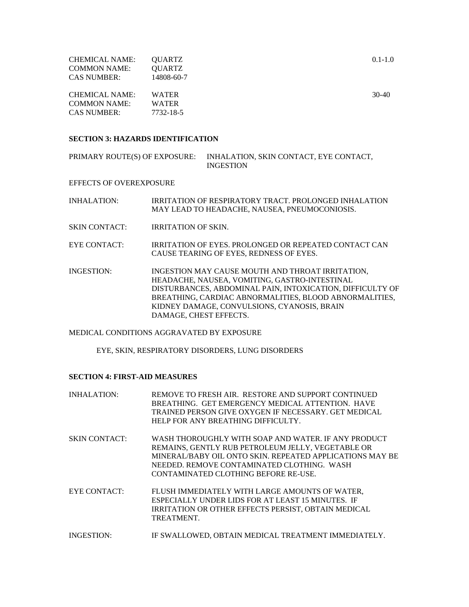| CHEMICAL NAME:      | OUARTZ        | $0.1 - 1.0$ |
|---------------------|---------------|-------------|
| <b>COMMON NAME:</b> | <b>OUARTZ</b> |             |
| <b>CAS NUMBER:</b>  | 14808-60-7    |             |
|                     |               |             |

| CHEMICAL NAME:      | <b>WATER</b> | $30-40$ |  |
|---------------------|--------------|---------|--|
| <b>COMMON NAME:</b> | <b>WATER</b> |         |  |
| <b>CAS NUMBER:</b>  | 7732-18-5    |         |  |

### **SECTION 3: HAZARDS IDENTIFICATION**

PRIMARY ROUTE(S) OF EXPOSURE: INHALATION, SKIN CONTACT, EYE CONTACT, INGESTION

EFFECTS OF OVEREXPOSURE

| INHALATION: | IRRITATION OF RESPIRATORY TRACT. PROLONGED INHALATION |
|-------------|-------------------------------------------------------|
|             | MAY LEAD TO HEADACHE, NAUSEA, PNEUMOCONIOSIS.         |
|             |                                                       |

- SKIN CONTACT: IRRITATION OF SKIN.
- EYE CONTACT: IRRITATION OF EYES. PROLONGED OR REPEATED CONTACT CAN CAUSE TEARING OF EYES, REDNESS OF EYES.
- INGESTION: INGESTION MAY CAUSE MOUTH AND THROAT IRRITATION, HEADACHE, NAUSEA, VOMITING, GASTRO-INTESTINAL DISTURBANCES, ABDOMINAL PAIN, INTOXICATION, DIFFICULTY OF BREATHING, CARDIAC ABNORMALITIES, BLOOD ABNORMALITIES, KIDNEY DAMAGE, CONVULSIONS, CYANOSIS, BRAIN DAMAGE, CHEST EFFECTS.

### MEDICAL CONDITIONS AGGRAVATED BY EXPOSURE

EYE, SKIN, RESPIRATORY DISORDERS, LUNG DISORDERS

#### **SECTION 4: FIRST-AID MEASURES**

| <b>INHALATION:</b>   | REMOVE TO FRESH AIR. RESTORE AND SUPPORT CONTINUED<br>BREATHING. GET EMERGENCY MEDICAL ATTENTION. HAVE<br>TRAINED PERSON GIVE OXYGEN IF NECESSARY. GET MEDICAL<br>HELP FOR ANY BREATHING DIFFICULTY.                                                       |
|----------------------|------------------------------------------------------------------------------------------------------------------------------------------------------------------------------------------------------------------------------------------------------------|
| <b>SKIN CONTACT:</b> | WASH THOROUGHLY WITH SOAP AND WATER. IF ANY PRODUCT<br>REMAINS, GENTLY RUB PETROLEUM JELLY, VEGETABLE OR<br>MINERAL/BABY OIL ONTO SKIN. REPEATED APPLICATIONS MAY BE<br>NEEDED. REMOVE CONTAMINATED CLOTHING. WASH<br>CONTAMINATED CLOTHING BEFORE RE-USE. |
| EYE CONTACT:         | FLUSH IMMEDIATELY WITH LARGE AMOUNTS OF WATER,<br>ESPECIALLY UNDER LIDS FOR AT LEAST 15 MINUTES. IF<br>IRRITATION OR OTHER EFFECTS PERSIST. OBTAIN MEDICAL<br>TREATMENT.                                                                                   |
| <b>INGESTION:</b>    | IF SWALLOWED, OBTAIN MEDICAL TREATMENT IMMEDIATELY.                                                                                                                                                                                                        |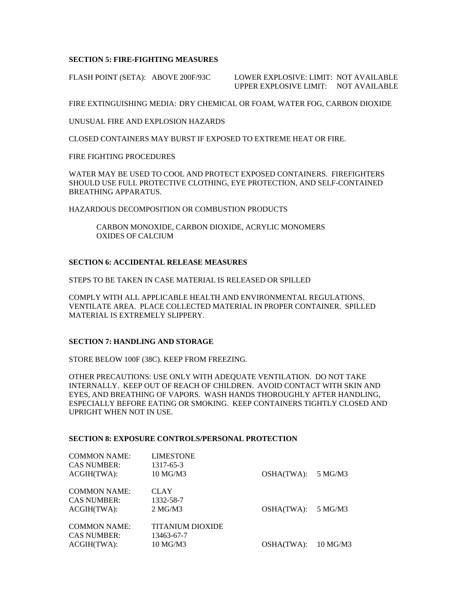## **SECTION 5: FIRE-FIGHTING MEASURES**

FLASH POINT (SETA): ABOVE 200F/93C LOWER EXPLOSIVE: LIMIT: NOT AVAILABLE UPPER EXPLOSIVE LIMIT: NOT AVAILABLE

FIRE EXTINGUISHING MEDIA: DRY CHEMICAL OR FOAM, WATER FOG, CARBON DIOXIDE

UNUSUAL FIRE AND EXPLOSION HAZARDS

CLOSED CONTAINERS MAY BURST IF EXPOSED TO EXTREME HEAT OR FIRE.

FIRE FIGHTING PROCEDURES

WATER MAY BE USED TO COOL AND PROTECT EXPOSED CONTAINERS. FIREFIGHTERS SHOULD USE FULL PROTECTIVE CLOTHING, EYE PROTECTION, AND SELF-CONTAINED BREATHING APPARATUS.

HAZARDOUS DECOMPOSITION OR COMBUSTION PRODUCTS

 CARBON MONOXIDE, CARBON DIOXIDE, ACRYLIC MONOMERS OXIDES OF CALCIUM

### **SECTION 6: ACCIDENTAL RELEASE MEASURES**

STEPS TO BE TAKEN IN CASE MATERIAL IS RELEASED OR SPILLED

COMPLY WITH ALL APPLICABLE HEALTH AND ENVIRONMENTAL REGULATIONS. VENTILATE AREA. PLACE COLLECTED MATERIAL IN PROPER CONTAINER. SPILLED MATERIAL IS EXTREMELY SLIPPERY.

## **SECTION 7: HANDLING AND STORAGE**

STORE BELOW 100F (38C). KEEP FROM FREEZING.

OTHER PRECAUTIONS: USE ONLY WITH ADEQUATE VENTILATION. DO NOT TAKE INTERNALLY. KEEP OUT OF REACH OF CHILDREN. AVOID CONTACT WITH SKIN AND EYES, AND BREATHING OF VAPORS. WASH HANDS THOROUGHLY AFTER HANDLING, ESPECIALLY BEFORE EATING OR SMOKING. KEEP CONTAINERS TIGHTLY CLOSED AND UPRIGHT WHEN NOT IN USE.

### **SECTION 8: EXPOSURE CONTROLS/PERSONAL PROTECTION**

| <b>LIMESTONE</b>                |                                              |            |
|---------------------------------|----------------------------------------------|------------|
| 10 MG/M3                        | OSHA(TWA):                                   | 5 MG/M3    |
|                                 |                                              |            |
|                                 |                                              |            |
| 1332-58-7                       |                                              |            |
| 2 <sub>NG</sub> /M <sub>3</sub> | OSHA(TWA):                                   | 5 MG/M3    |
|                                 |                                              |            |
|                                 |                                              |            |
| 13463-67-7                      |                                              |            |
| 10 MG/M3                        | OSHA(TWA):                                   | $10$ MG/M3 |
|                                 | 1317-65-3<br><b>CLAY</b><br>TITANIUM DIOXIDE |            |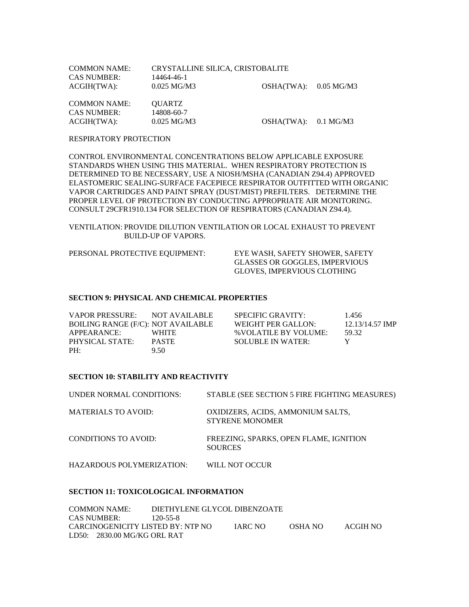| COMMON NAME:       | CRYSTALLINE SILICA, CRISTOBALITE |                         |  |
|--------------------|----------------------------------|-------------------------|--|
| <b>CAS NUMBER:</b> | 14464-46-1                       |                         |  |
| ACGIH(TWA):        | 0.025 MG/M3                      | $OSHA(TWA):$ 0.05 MG/M3 |  |
|                    |                                  |                         |  |

| <b>COMMON NAME:</b> | <b>OUARTZ</b>         |                      |  |
|---------------------|-----------------------|----------------------|--|
| <b>CAS NUMBER:</b>  | 14808-60-7            |                      |  |
| ACGIH(TWA):         | $0.025 \text{ MG/M3}$ | OSHA(TWA): 0.1 MG/M3 |  |

### RESPIRATORY PROTECTION

CONTROL ENVIRONMENTAL CONCENTRATIONS BELOW APPLICABLE EXPOSURE STANDARDS WHEN USING THIS MATERIAL. WHEN RESPIRATORY PROTECTION IS DETERMINED TO BE NECESSARY, USE A NIOSH/MSHA (CANADIAN Z94.4) APPROVED ELASTOMERIC SEALING-SURFACE FACEPIECE RESPIRATOR OUTFITTED WITH ORGANIC VAPOR CARTRIDGES AND PAINT SPRAY (DUST/MIST) PREFILTERS. DETERMINE THE PROPER LEVEL OF PROTECTION BY CONDUCTING APPROPRIATE AIR MONITORING. CONSULT 29CFR1910.134 FOR SELECTION OF RESPIRATORS (CANADIAN Z94.4).

VENTILATION: PROVIDE DILUTION VENTILATION OR LOCAL EXHAUST TO PREVENT BUILD-UP OF VAPORS.

PERSONAL PROTECTIVE EQUIPMENT: EYE WASH, SAFETY SHOWER, SAFETY

 GLASSES OR GOGGLES, IMPERVIOUS GLOVES, IMPERVIOUS CLOTHING

### **SECTION 9: PHYSICAL AND CHEMICAL PROPERTIES**

| VAPOR PRESSURE:                    | NOT AVAILABLE | SPECIFIC GRAVITY:     | 1.456           |
|------------------------------------|---------------|-----------------------|-----------------|
| BOILING RANGE (F/C): NOT AVAILABLE |               | WEIGHT PER GALLON:    | 12.13/14.57 IMP |
| APPEARANCE:                        | <b>WHITE</b>  | % VOLATILE BY VOLUME: | 59.32           |
| PHYSICAL STATE:                    | <b>PASTE</b>  | SOLUBLE IN WATER:     |                 |
| PH:                                | 9.50          |                       |                 |

## **SECTION 10: STABILITY AND REACTIVITY**

| UNDER NORMAL CONDITIONS:    | STABLE (SEE SECTION 5 FIRE FIGHTING MEASURES)               |
|-----------------------------|-------------------------------------------------------------|
| <b>MATERIALS TO AVOID:</b>  | OXIDIZERS, ACIDS, AMMONIUM SALTS,<br><b>STYRENE MONOMER</b> |
| <b>CONDITIONS TO AVOID:</b> | FREEZING, SPARKS, OPEN FLAME, IGNITION<br><b>SOURCES</b>    |
| HAZARDOUS POLYMERIZATION:   | WILL NOT OCCUR                                              |

#### **SECTION 11: TOXICOLOGICAL INFORMATION**

| COMMON NAME:                      | DIETHYLENE GLYCOL DIBENZOATE |                |         |          |
|-----------------------------------|------------------------------|----------------|---------|----------|
| CAS NUMBER:                       | 120-55-8                     |                |         |          |
| CARCINOGENICITY LISTED BY: NTP NO |                              | <b>IARC NO</b> | OSHA NO | ACGIH NO |
| LD50: 2830.00 MG/KG ORL RAT       |                              |                |         |          |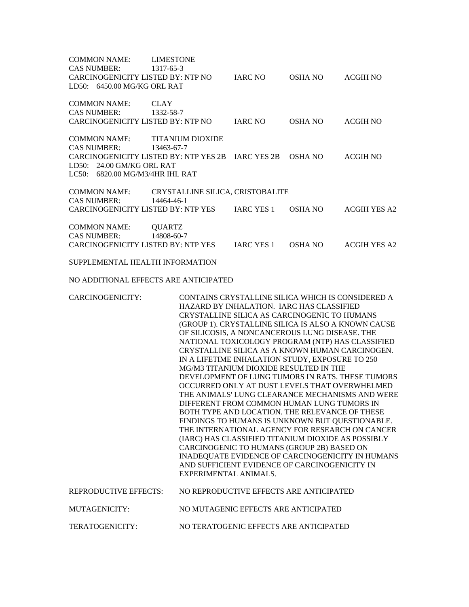| <b>COMMON NAME:</b><br><b>CAS NUMBER:</b>                                                                 | <b>LIMESTONE</b><br>1317-65-3                                                              |                                      |                                                                                                                                                                                                                                                                                                                                                                                                                                                                                                                                                                                                                                                                                                                                                                                                                      |                                                                                                                                                                                                            |  |
|-----------------------------------------------------------------------------------------------------------|--------------------------------------------------------------------------------------------|--------------------------------------|----------------------------------------------------------------------------------------------------------------------------------------------------------------------------------------------------------------------------------------------------------------------------------------------------------------------------------------------------------------------------------------------------------------------------------------------------------------------------------------------------------------------------------------------------------------------------------------------------------------------------------------------------------------------------------------------------------------------------------------------------------------------------------------------------------------------|------------------------------------------------------------------------------------------------------------------------------------------------------------------------------------------------------------|--|
| CARCINOGENICITY LISTED BY: NTP NO<br>LD50: 6450.00 MG/KG ORL RAT                                          |                                                                                            | <b>IARC NO</b>                       | <b>OSHA NO</b>                                                                                                                                                                                                                                                                                                                                                                                                                                                                                                                                                                                                                                                                                                                                                                                                       | <b>ACGIH NO</b>                                                                                                                                                                                            |  |
| <b>COMMON NAME:</b><br><b>CAS NUMBER:</b>                                                                 | <b>CLAY</b><br>1332-58-7                                                                   |                                      |                                                                                                                                                                                                                                                                                                                                                                                                                                                                                                                                                                                                                                                                                                                                                                                                                      |                                                                                                                                                                                                            |  |
| CARCINOGENICITY LISTED BY: NTP NO                                                                         |                                                                                            | <b>IARC NO</b>                       | <b>OSHA NO</b>                                                                                                                                                                                                                                                                                                                                                                                                                                                                                                                                                                                                                                                                                                                                                                                                       | <b>ACGIH NO</b>                                                                                                                                                                                            |  |
| <b>COMMON NAME:</b><br><b>CAS NUMBER:</b><br>LD50: 24.00 GM/KG ORL RAT<br>LC50: 6820.00 MG/M3/4HR IHL RAT | <b>TITANIUM DIOXIDE</b><br>13463-67-7<br>CARCINOGENICITY LISTED BY: NTP YES 2B IARC YES 2B |                                      | <b>OSHA NO</b>                                                                                                                                                                                                                                                                                                                                                                                                                                                                                                                                                                                                                                                                                                                                                                                                       | <b>ACGIH NO</b>                                                                                                                                                                                            |  |
|                                                                                                           |                                                                                            |                                      |                                                                                                                                                                                                                                                                                                                                                                                                                                                                                                                                                                                                                                                                                                                                                                                                                      |                                                                                                                                                                                                            |  |
| <b>COMMON NAME:</b><br><b>CAS NUMBER:</b>                                                                 | CRYSTALLINE SILICA, CRISTOBALITE<br>14464-46-1                                             |                                      |                                                                                                                                                                                                                                                                                                                                                                                                                                                                                                                                                                                                                                                                                                                                                                                                                      |                                                                                                                                                                                                            |  |
|                                                                                                           | CARCINOGENICITY LISTED BY: NTP YES                                                         | <b>IARC YES 1</b>                    | <b>OSHA NO</b>                                                                                                                                                                                                                                                                                                                                                                                                                                                                                                                                                                                                                                                                                                                                                                                                       | <b>ACGIH YES A2</b>                                                                                                                                                                                        |  |
| <b>COMMON NAME:</b><br><b>CAS NUMBER:</b>                                                                 | <b>QUARTZ</b><br>14808-60-7                                                                |                                      |                                                                                                                                                                                                                                                                                                                                                                                                                                                                                                                                                                                                                                                                                                                                                                                                                      |                                                                                                                                                                                                            |  |
| <b>CARCINOGENICITY LISTED BY: NTP YES</b>                                                                 |                                                                                            | <b>IARC YES 1</b>                    | <b>OSHA NO</b>                                                                                                                                                                                                                                                                                                                                                                                                                                                                                                                                                                                                                                                                                                                                                                                                       | <b>ACGIH YES A2</b>                                                                                                                                                                                        |  |
| SUPPLEMENTAL HEALTH INFORMATION                                                                           |                                                                                            |                                      |                                                                                                                                                                                                                                                                                                                                                                                                                                                                                                                                                                                                                                                                                                                                                                                                                      |                                                                                                                                                                                                            |  |
|                                                                                                           | NO ADDITIONAL EFFECTS ARE ANTICIPATED                                                      |                                      |                                                                                                                                                                                                                                                                                                                                                                                                                                                                                                                                                                                                                                                                                                                                                                                                                      |                                                                                                                                                                                                            |  |
| CARCINOGENICITY:                                                                                          | EXPERIMENTAL ANIMALS.                                                                      |                                      | CONTAINS CRYSTALLINE SILICA WHICH IS CONSIDERED A<br>HAZARD BY INHALATION. IARC HAS CLASSIFIED<br>CRYSTALLINE SILICA AS CARCINOGENIC TO HUMANS<br>(GROUP 1). CRYSTALLINE SILICA IS ALSO A KNOWN CAUSE<br>OF SILICOSIS, A NONCANCEROUS LUNG DISEASE. THE<br>NATIONAL TOXICOLOGY PROGRAM (NTP) HAS CLASSIFIED<br>CRYSTALLINE SILICA AS A KNOWN HUMAN CARCINOGEN.<br>IN A LIFETIME INHALATION STUDY, EXPOSURE TO 250<br>MG/M3 TITANIUM DIOXIDE RESULTED IN THE<br>OCCURRED ONLY AT DUST LEVELS THAT OVERWHELMED<br>DIFFERENT FROM COMMON HUMAN LUNG TUMORS IN<br>BOTH TYPE AND LOCATION. THE RELEVANCE OF THESE<br>FINDINGS TO HUMANS IS UNKNOWN BUT QUESTIONABLE.<br>(IARC) HAS CLASSIFIED TITANIUM DIOXIDE AS POSSIBLY<br>CARCINOGENIC TO HUMANS (GROUP 2B) BASED ON<br>AND SUFFICIENT EVIDENCE OF CARCINOGENICITY IN | DEVELOPMENT OF LUNG TUMORS IN RATS. THESE TUMORS<br>THE ANIMALS' LUNG CLEARANCE MECHANISMS AND WERE<br>THE INTERNATIONAL AGENCY FOR RESEARCH ON CANCER<br>INADEQUATE EVIDENCE OF CARCINOGENICITY IN HUMANS |  |
| <b>REPRODUCTIVE EFFECTS:</b>                                                                              |                                                                                            |                                      | NO REPRODUCTIVE EFFECTS ARE ANTICIPATED                                                                                                                                                                                                                                                                                                                                                                                                                                                                                                                                                                                                                                                                                                                                                                              |                                                                                                                                                                                                            |  |
| <b>MUTAGENICITY:</b>                                                                                      |                                                                                            | NO MUTAGENIC EFFECTS ARE ANTICIPATED |                                                                                                                                                                                                                                                                                                                                                                                                                                                                                                                                                                                                                                                                                                                                                                                                                      |                                                                                                                                                                                                            |  |
| TERATOGENICITY:                                                                                           |                                                                                            |                                      | NO TERATOGENIC EFFECTS ARE ANTICIPATED                                                                                                                                                                                                                                                                                                                                                                                                                                                                                                                                                                                                                                                                                                                                                                               |                                                                                                                                                                                                            |  |